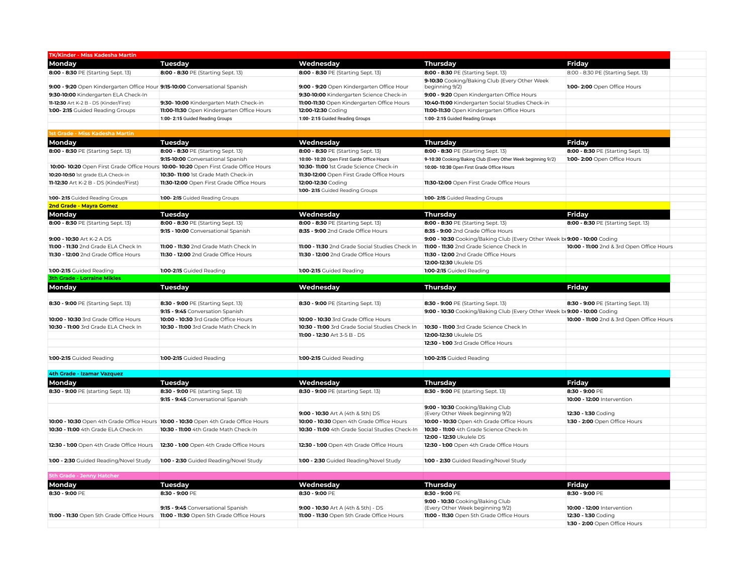| <b>TK/Kinder - Miss Kadesha Martin</b>                                      |                                                                                                   |                                                 |                                                                           |                                           |
|-----------------------------------------------------------------------------|---------------------------------------------------------------------------------------------------|-------------------------------------------------|---------------------------------------------------------------------------|-------------------------------------------|
| Monday                                                                      | <b>Tuesday</b>                                                                                    | Wednesday                                       | Thursday                                                                  | <b>Friday</b>                             |
| 8:00 - 8:30 PE (Starting Sept. 13)                                          | 8:00 - 8:30 PE (Starting Sept. 13)                                                                | 8:00 - 8:30 PE (Starting Sept. 13)              | 8:00 - 8:30 PE (Starting Sept. 13)                                        | 8:00 - 8:30 PE (Starting Sept. 13)        |
| 9:00 - 9:20 Open Kindergarten Office Hour 9:15-10:00 Conversational Spanish |                                                                                                   | 9:00 - 9:20 Open Kindergarten Office Hour       | 9-10:30 Cooking/Baking Club (Every Other Week<br>beginning 9/2)           | 1:00- 2:00 Open Office Hours              |
| 9:30-10:00 Kindergarten ELA Check-In                                        |                                                                                                   | 9:30-10:00 Kindergarten Science Check-in        | 9:00 - 9:20 Open Kindergarten Office Hours                                |                                           |
| 11-12:30 Art K-2 B - DS (Kinder/First)                                      | 9:30-10:00 Kindergarten Math Check-in                                                             | 11:00-11:30 Open Kindergarten Office Hours      | 10:40-11:00 Kindergarten Social Studies Check-in                          |                                           |
| 1:00-2:15 Guided Reading Groups                                             | 11:00-11:30 Open Kindergarten Office Hours                                                        | 12:00-12:30 Coding                              | 11:00-11:30 Open Kindergarten Office Hours                                |                                           |
|                                                                             | 1:00-2:15 Guided Reading Groups                                                                   | 1:00-2:15 Guided Reading Groups                 | 1:00-2:15 Guided Reading Groups                                           |                                           |
|                                                                             |                                                                                                   |                                                 |                                                                           |                                           |
| 1st Grade - Miss Kadesha Martin                                             |                                                                                                   |                                                 |                                                                           |                                           |
| Monday                                                                      | <b>Tuesday</b>                                                                                    | Wednesday                                       | Thursday                                                                  | <b>Friday</b>                             |
| 8:00 - 8:30 PE (Starting Sept. 13)                                          | 8:00 - 8:30 PE (Starting Sept. 13)                                                                | 8:00 - 8:30 PE (Starting Sept. 13)              | 8:00 - 8:30 PE (Starting Sept. 13)                                        | 8:00 - 8:30 PE (Starting Sept. 13)        |
|                                                                             | 9:15-10:00 Conversational Spanish                                                                 | 10:00-10:20 Open First Garde Office Hours       | 9-10:30 Cooking/Baking Club (Every Other Week beginning 9/2)              | 1:00- 2:00 Open Office Hours              |
|                                                                             | 10:00- 10:20 Open First Grade Office Hours 10:00- 10:20 Open First Grade Office Hours             | 10:30-11:00 1st Grade Science Check-in          | 10:00- 10:30 Open First Grade Office Hours                                |                                           |
| 10:20-10:50 1st grade ELA Check-in                                          | 10:30- 11:00 1st Grade Math Check-in                                                              | 11:30-12:00 Open First Grade Office Hours       |                                                                           |                                           |
| 11-12:30 Art K-2 B - DS (Kinder/First)                                      | 11:30-12:00 Open First Grade Office Hours                                                         | 12:00-12:30 Coding                              | 11:30-12:00 Open First Grade Office Hours                                 |                                           |
|                                                                             |                                                                                                   | 1:00-2:15 Guided Reading Groups                 |                                                                           |                                           |
| 1:00-2:15 Guided Reading Groups                                             | 1:00-2:15 Guided Reading Groups                                                                   |                                                 | 1:00-2:15 Guided Reading Groups                                           |                                           |
| 2nd Grade - Mayra Gomez                                                     |                                                                                                   |                                                 |                                                                           |                                           |
| Monday                                                                      | <b>Tuesday</b>                                                                                    | Wednesday                                       | Thursday                                                                  | <b>Friday</b>                             |
| 8:00 - 8:30 PE (Starting Sept. 13)                                          | 8:00 - 8:30 PE (Starting Sept. 13)                                                                | 8:00 - 8:30 PE (Starting Sept. 13)              | 8:00 - 8:30 PE (Starting Sept. 13)                                        | 8:00 - 8:30 PE (Starting Sept. 13)        |
|                                                                             | 9:15 - 10:00 Conversational Spanish                                                               | 8:35 - 9:00 2nd Grade Office Hours              | 8:35 - 9:00 2nd Grade Office Hours                                        |                                           |
| 9:00 - 10:30 Art K-2 A DS                                                   |                                                                                                   |                                                 | 9:00 - 10:30 Cooking/Baking Club (Every Other Week be 9:00 - 10:00 Coding |                                           |
| 11:00 - 11:30 2nd Grade ELA Check In                                        | 11:00 - 11:30 2nd Grade Math Check In                                                             | 11:00 - 11:30 2nd Grade Social Studies Check In | 11:00 - 11:30 2nd Grade Science Check In                                  | 10:00 - 11:00 2nd & 3rd Open Office Hours |
| 11:30 - 12:00 2nd Grade Office Hours                                        | 11:30 - 12:00 2nd Grade Office Hours                                                              | 11:30 - 12:00 2nd Grade Office Hours            | 11:30 - 12:00 2nd Grade Office Hours                                      |                                           |
|                                                                             |                                                                                                   |                                                 | 12:00-12:30 Ukulele DS                                                    |                                           |
| 1:00-2:15 Guided Reading                                                    | 1:00-2:15 Guided Reading                                                                          | 1:00-2:15 Guided Reading                        | 1:00-2:15 Guided Reading                                                  |                                           |
| <b>3th Grade - Lorraine Mikles</b>                                          |                                                                                                   |                                                 |                                                                           |                                           |
| Monday                                                                      | Tuesday                                                                                           | Wednesday                                       | Thursday                                                                  | Friday                                    |
|                                                                             |                                                                                                   |                                                 |                                                                           |                                           |
| 8:30 - 9:00 PE (Starting Sept. 13)                                          | 8:30 - 9:00 PE (Starting Sept. 13)                                                                | 8:30 - 9:00 PE (Starting Sept. 13)              | 8:30 - 9:00 PE (Starting Sept. 13)                                        | 8:30 - 9:00 PE (Starting Sept. 13)        |
|                                                                             | 9:15 - 9:45 Conversation Spanish                                                                  |                                                 | 9:00 - 10:30 Cooking/Baking Club (Every Other Week be 9:00 - 10:00 Coding |                                           |
| 10:00 - 10:30 3rd Grade Office Hours                                        | 10:00 - 10:30 3rd Grade Office Hours                                                              | 10:00 - 10:30 3rd Grade Office Hours            |                                                                           | 10:00 - 11:00 2nd & 3rd Open Office Hours |
| 10:30 - 11:00 3rd Grade ELA Check In                                        | 10:30 - 11:00 3rd Grade Math Check In                                                             | 10:30 - 11:00 3rd Grade Social Studies Check In | 10:30 - 11:00 3rd Grade Science Check In                                  |                                           |
|                                                                             |                                                                                                   | 11:00 - 12:30 Art 3-5 B - DS                    | 12:00-12:30 Ukulele DS                                                    |                                           |
|                                                                             |                                                                                                   |                                                 | 12:30 - 1:00 3rd Grade Office Hours                                       |                                           |
|                                                                             |                                                                                                   |                                                 |                                                                           |                                           |
| 1:00-2:15 Guided Reading                                                    | 1:00-2:15 Guided Reading                                                                          | 1:00-2:15 Guided Reading                        | 1:00-2:15 Guided Reading                                                  |                                           |
|                                                                             |                                                                                                   |                                                 |                                                                           |                                           |
| 4th Grade - Izamar Vazquez                                                  |                                                                                                   |                                                 |                                                                           |                                           |
| Monday                                                                      | Tuesday                                                                                           | Wednesday                                       | Thursday                                                                  | <b>Friday</b>                             |
| 8:30 - 9:00 PE (starting Sept. 13)                                          | 8:30 - 9:00 PE (starting Sept. 13)                                                                | 8:30 - 9:00 PE (starting Sept. 13)              | 8:30 - 9:00 PE (starting Sept. 13)                                        | 8:30 - 9:00 PE                            |
|                                                                             | 9:15 - 9:45 Conversational Spanish                                                                |                                                 |                                                                           | 10:00 - 12:00 Intervention                |
|                                                                             |                                                                                                   |                                                 | 9:00 - 10:30 Cooking/Baking Club                                          |                                           |
|                                                                             |                                                                                                   | 9:00 - 10:30 Art A (4th & 5th) DS               | (Every Other Week beginning 9/2)                                          | 12:30 - 1:30 Coding                       |
|                                                                             | <b>10:00 - 10:30</b> Open 4th Grade Office Hours <b>10:00 - 10:30</b> Open 4th Grade Office Hours | 10:00 - 10:30 Open 4th Grade Office Hours       | 10:00 - 10:30 Open 4th Grade Office Hours                                 | 1:30 - 2:00 Open Office Hours             |
| 10:30 - 11:00 4th Grade ELA Check-In                                        | 10:30 - 11:00 4th Grade Math Check-In                                                             | 10:30 - 11:00 4th Grade Social Studies Check-In | 10:30 - 11:00 4th Grade Science Check-In                                  |                                           |
|                                                                             |                                                                                                   |                                                 | 12:00 - 12:30 Ukulele DS                                                  |                                           |
| 12:30 - 1:00 Open 4th Grade Office Hours                                    | 12:30 - 1:00 Open 4th Grade Office Hours                                                          | 12:30 - 1:00 Open 4th Grade Office Hours        | 12:30 - 1:00 Open 4th Grade Office Hours                                  |                                           |
|                                                                             |                                                                                                   |                                                 |                                                                           |                                           |
| 1:00 - 2:30 Guided Reading/Novel Study                                      | 1:00 - 2:30 Guided Reading/Novel Study                                                            | 1:00 - 2:30 Guided Reading/Novel Study          | 1:00 - 2:30 Guided Reading/Novel Study                                    |                                           |
|                                                                             |                                                                                                   |                                                 |                                                                           |                                           |
| <b>5th Grade - Jenny Hatcher</b>                                            |                                                                                                   |                                                 |                                                                           |                                           |
| Monday                                                                      | <b>Tuesday</b>                                                                                    | Wednesday                                       | Thursday                                                                  | <b>Friday</b>                             |
| 8:30 - 9:00 PE                                                              | 8:30 - 9:00 PE                                                                                    | 8:30 - 9:00 PE                                  | 8:30 - 9:00 PE                                                            | 8:30 - 9:00 PE                            |
|                                                                             | 9:15 - 9:45 Conversational Spanish                                                                | 9:00 - 10:30 Art A (4th & 5th) - DS             | 9:00 - 10:30 Cooking/Baking Club<br>(Every Other Week beginning 9/2)      | 10:00 - 12:00 Intervention                |
| 11:00 - 11:30 Open 5th Grade Office Hours                                   | 11:00 - 11:30 Open 5th Grade Office Hours                                                         | 11:00 - 11:30 Open 5th Grade Office Hours       | 11:00 - 11:30 Open 5th Grade Office Hours                                 | 12:30 - 1:30 Coding                       |
|                                                                             |                                                                                                   |                                                 |                                                                           | 1:30 - 2:00 Open Office Hours             |
|                                                                             |                                                                                                   |                                                 |                                                                           |                                           |